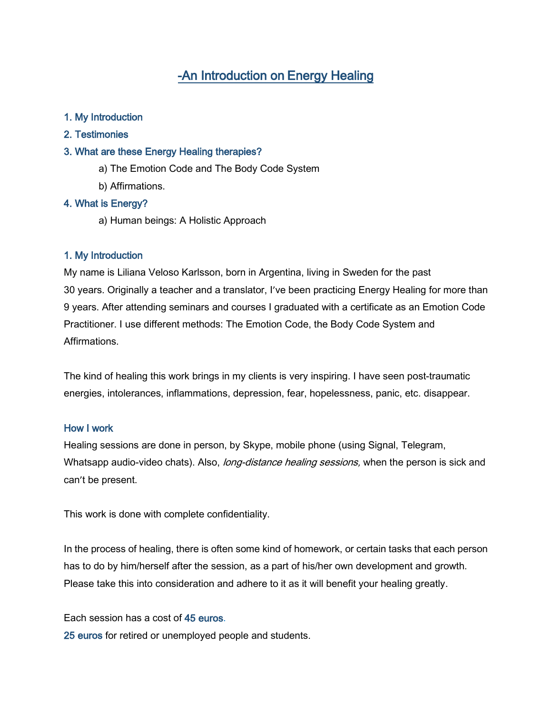# -An Introduction on Energy Healing

## 1. My Introduction

2. Testimonies

#### 3. What are these Energy Healing therapies?

- a) The Emotion Code and The Body Code System
- b) Affirmations.

## 4. What is Energy?

a) Human beings: A Holistic Approach

#### 1. My Introduction

My name is Liliana Veloso Karlsson, born in Argentina, living in Sweden for the past 30 years. Originally a teacher and a translator, I've been practicing Energy Healing for more than 9 years. After attending seminars and courses I graduated with a certificate as an Emotion Code Practitioner. I use different methods: The Emotion Code, the Body Code System and Affirmations.

The kind of healing this work brings in my clients is very inspiring. I have seen post-traumatic energies, intolerances, inflammations, depression, fear, hopelessness, panic, etc. disappear.

#### How I work

Healing sessions are done in person, by Skype, mobile phone (using Signal, Telegram, Whatsapp audio-video chats). Also, long-distance healing sessions, when the person is sick and can't be present.

This work is done with complete confidentiality.

In the process of healing, there is often some kind of homework, or certain tasks that each person has to do by him/herself after the session, as a part of his/her own development and growth. Please take this into consideration and adhere to it as it will benefit your healing greatly.

Each session has a cost of 45 euros.

25 euros for retired or unemployed people and students.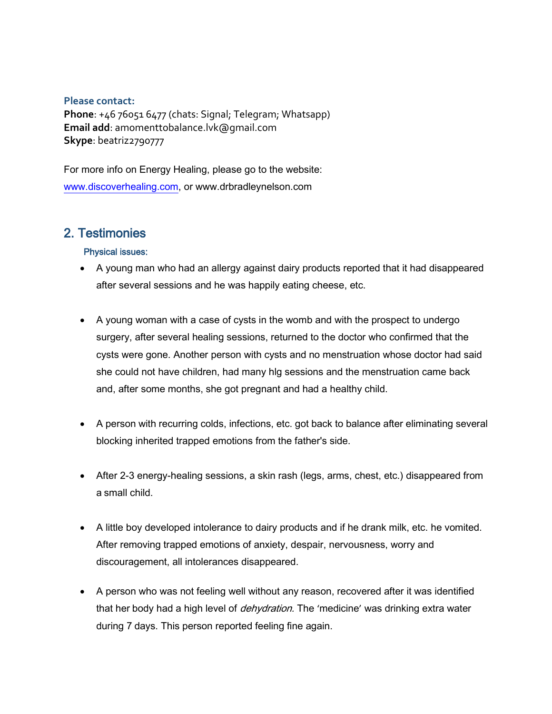## **Please contact:**

**Phone**: +46 76051 6477 (chats: Signal; Telegram; Whatsapp) **Email add**: amomenttobalance.lvk@gmail.com **Skype**: beatriz2790777

For more info on Energy Healing, please go to the website: [www.discoverhealing.com,](http://www.discoverhealing.com/) or www.drbradleynelson.com

# 2. Testimonies

## Physical issues:

- A young man who had an allergy against dairy products reported that it had disappeared after several sessions and he was happily eating cheese, etc.
- A young woman with a case of cysts in the womb and with the prospect to undergo surgery, after several healing sessions, returned to the doctor who confirmed that the cysts were gone. Another person with cysts and no menstruation whose doctor had said she could not have children, had many hlg sessions and the menstruation came back and, after some months, she got pregnant and had a healthy child.
- A person with recurring colds, infections, etc. got back to balance after eliminating several blocking inherited trapped emotions from the father's side.
- After 2-3 energy-healing sessions, a skin rash (legs, arms, chest, etc.) disappeared from a small child.
- A little boy developed intolerance to dairy products and if he drank milk, etc. he vomited. After removing trapped emotions of anxiety, despair, nervousness, worry and discouragement, all intolerances disappeared.
- A person who was not feeling well without any reason, recovered after it was identified that her body had a high level of *dehydration*. The 'medicine' was drinking extra water during 7 days. This person reported feeling fine again.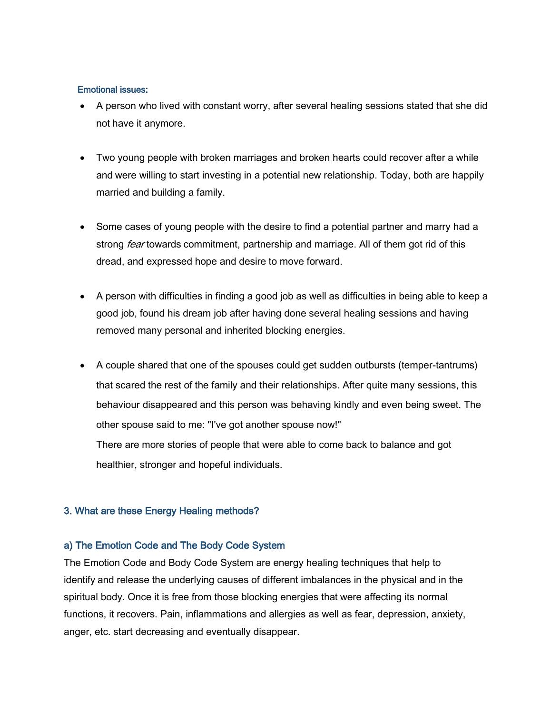#### Emotional issues:

- A person who lived with constant worry, after several healing sessions stated that she did not have it anymore.
- Two young people with broken marriages and broken hearts could recover after a while and were willing to start investing in a potential new relationship. Today, both are happily married and building a family.
- Some cases of young people with the desire to find a potential partner and marry had a strong *fear* towards commitment, partnership and marriage. All of them got rid of this dread, and expressed hope and desire to move forward.
- A person with difficulties in finding a good job as well as difficulties in being able to keep a good job, found his dream job after having done several healing sessions and having removed many personal and inherited blocking energies.
- A couple shared that one of the spouses could get sudden outbursts (temper-tantrums) that scared the rest of the family and their relationships. After quite many sessions, this behaviour disappeared and this person was behaving kindly and even being sweet. The other spouse said to me: "I've got another spouse now!"

There are more stories of people that were able to come back to balance and got healthier, stronger and hopeful individuals.

## 3. What are these Energy Healing methods?

## a) The Emotion Code and The Body Code System

The Emotion Code and Body Code System are energy healing techniques that help to identify and release the underlying causes of different imbalances in the physical and in the spiritual body. Once it is free from those blocking energies that were affecting its normal functions, it recovers. Pain, inflammations and allergies as well as fear, depression, anxiety, anger, etc. start decreasing and eventually disappear.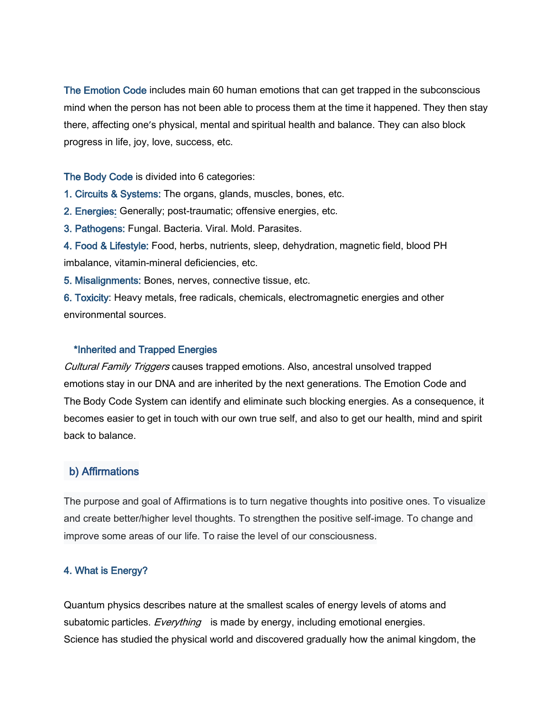The Emotion Code includes main 60 human emotions that can get trapped in the subconscious mind when the person has not been able to process them at the time it happened. They then stay there, affecting one's physical, mental and spiritual health and balance. They can also block progress in life, joy, love, success, etc.

The Body Code is divided into 6 categories:

1. Circuits & Systems: The organs, glands, muscles, bones, etc.

2. Energies: Generally; post-traumatic; offensive energies, etc.

3. Pathogens: Fungal. Bacteria. Viral. Mold. Parasites.

4. Food & Lifestyle: Food, herbs, nutrients, sleep, dehydration, magnetic field, blood PH imbalance, vitamin-mineral deficiencies, etc.

5. Misalignments: Bones, nerves, connective tissue, etc.

6. Toxicity: Heavy metals, free radicals, chemicals, electromagnetic energies and other environmental sources.

## \*Inherited and Trapped Energies

Cultural Family Triggers causes trapped emotions. Also, ancestral unsolved trapped emotions stay in our DNA and are inherited by the next generations. The Emotion Code and The Body Code System can identify and eliminate such blocking energies. As a consequence, it becomes easier to get in touch with our own true self, and also to get our health, mind and spirit back to balance.

## b) Affirmations

The purpose and goal of Affirmations is to turn negative thoughts into positive ones. To visualize and create better/higher level thoughts. To strengthen the positive self-image. To change and improve some areas of our life. To raise the level of our consciousness.

## 4. What is Energy?

Quantum physics describes nature at the smallest scales of energy levels of atoms and subatomic particles. *Everything* is made by energy, including emotional energies. Science has studied the physical world and discovered gradually how the animal kingdom, the